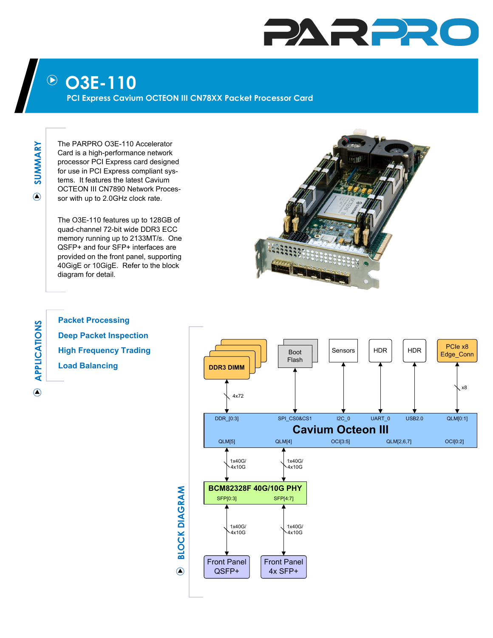## PARPR

## **O3E-110**  $(\blacktriangleright)$

**PCI Express Cavium OCTEON III CN78XX Packet Processor Card** 

**SUMMARY**  $\bigcirc$ 

The PARPRO O3E-110 Accelerator Card is a high-performance network processor PCI Express card designed for use in PCI Express compliant systems. It features the latest Cavium OCTEON III CN7890 Network Processor with up to 2.0GHz clock rate.

The O3E-110 features up to 128GB of quad-channel 72-bit wide DDR3 ECC memory running up to 2133MT/s. One QSFP+ and four SFP+ interfaces are provided on the front panel, supporting 40GigE or 10GigE. Refer to the block diagram for detail.



 $\odot$ 

**Packet Processing Deep Packet Inspection High Frequency Trading Load Balancing**